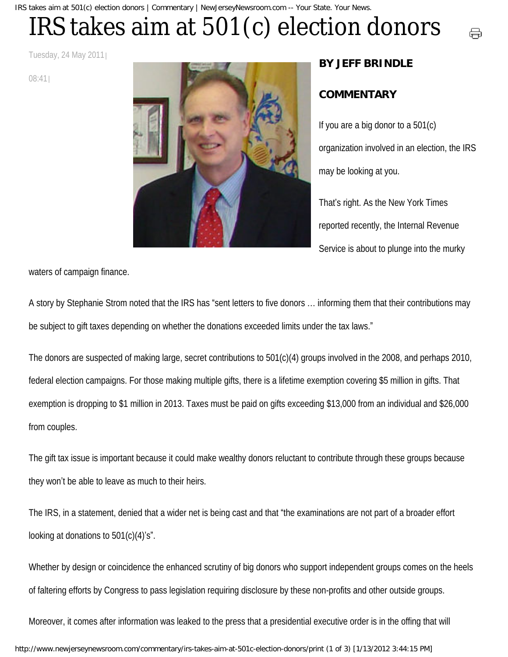IRS takes aim at 501(c) election donors | Commentary | NewJerseyNewsroom.com -- Your State. Your News.

## IRS takes aim at 501(c) election donors

Tuesday, 24 May 2011

08:41



## **BY JEFF BRINDLE**

## **COMMENTARY**

If you are a big donor to a 501(c) organization involved in an election, the IRS may be looking at you.

量

That's right. As the New York Times reported recently, the Internal Revenue Service is about to plunge into the murky

waters of campaign finance.

A story by Stephanie Strom noted that the IRS has "sent letters to five donors … informing them that their contributions may be subject to gift taxes depending on whether the donations exceeded limits under the tax laws."

The donors are suspected of making large, secret contributions to 501(c)(4) groups involved in the 2008, and perhaps 2010, federal election campaigns. For those making multiple gifts, there is a lifetime exemption covering \$5 million in gifts. That exemption is dropping to \$1 million in 2013. Taxes must be paid on gifts exceeding \$13,000 from an individual and \$26,000 from couples.

The gift tax issue is important because it could make wealthy donors reluctant to contribute through these groups because they won't be able to leave as much to their heirs.

The IRS, in a statement, denied that a wider net is being cast and that "the examinations are not part of a broader effort looking at donations to 501(c)(4)'s".

Whether by design or coincidence the enhanced scrutiny of big donors who support independent groups comes on the heels of faltering efforts by Congress to pass legislation requiring disclosure by these non-profits and other outside groups.

Moreover, it comes after information was leaked to the press that a presidential executive order is in the offing that will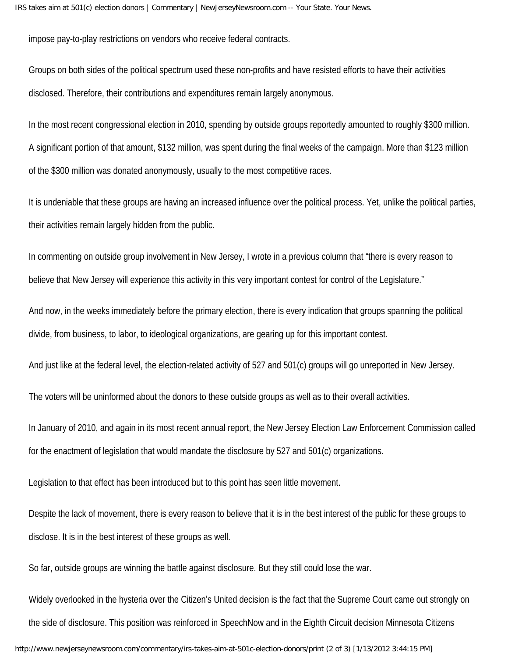impose pay-to-play restrictions on vendors who receive federal contracts.

Groups on both sides of the political spectrum used these non-profits and have resisted efforts to have their activities disclosed. Therefore, their contributions and expenditures remain largely anonymous.

In the most recent congressional election in 2010, spending by outside groups reportedly amounted to roughly \$300 million. A significant portion of that amount, \$132 million, was spent during the final weeks of the campaign. More than \$123 million of the \$300 million was donated anonymously, usually to the most competitive races.

It is undeniable that these groups are having an increased influence over the political process. Yet, unlike the political parties, their activities remain largely hidden from the public.

In commenting on outside group involvement in New Jersey, I wrote in a previous column that "there is every reason to believe that New Jersey will experience this activity in this very important contest for control of the Legislature."

And now, in the weeks immediately before the primary election, there is every indication that groups spanning the political divide, from business, to labor, to ideological organizations, are gearing up for this important contest.

And just like at the federal level, the election-related activity of 527 and 501(c) groups will go unreported in New Jersey.

The voters will be uninformed about the donors to these outside groups as well as to their overall activities.

In January of 2010, and again in its most recent annual report, the New Jersey Election Law Enforcement Commission called for the enactment of legislation that would mandate the disclosure by 527 and 501(c) organizations.

Legislation to that effect has been introduced but to this point has seen little movement.

Despite the lack of movement, there is every reason to believe that it is in the best interest of the public for these groups to disclose. It is in the best interest of these groups as well.

So far, outside groups are winning the battle against disclosure. But they still could lose the war.

Widely overlooked in the hysteria over the Citizen's United decision is the fact that the Supreme Court came out strongly on the side of disclosure. This position was reinforced in SpeechNow and in the Eighth Circuit decision Minnesota Citizens